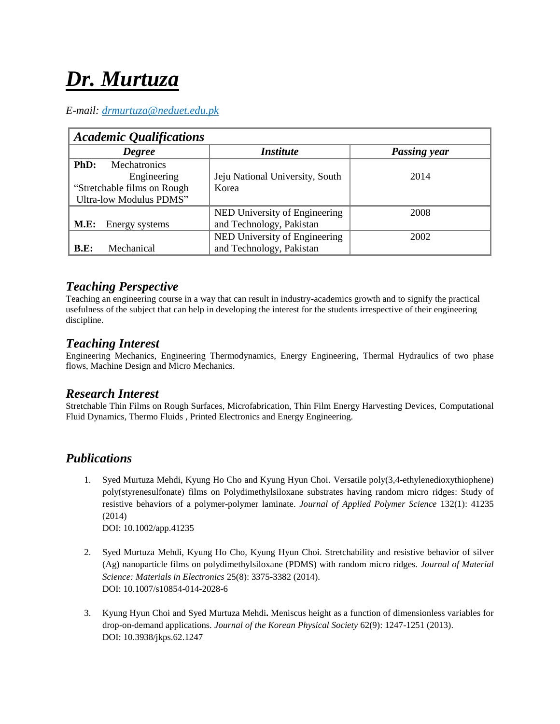# *Dr. Murtuza*

#### *E-mail: drmurtuza@neduet.edu.pk*

| <b>Academic Qualifications</b>                                                                        |                                                           |                     |
|-------------------------------------------------------------------------------------------------------|-----------------------------------------------------------|---------------------|
| <b>Degree</b>                                                                                         | <i><b>Institute</b></i>                                   | <b>Passing year</b> |
| Mechatronics<br>PhD:<br>Engineering<br>"Stretchable films on Rough"<br><b>Ultra-low Modulus PDMS"</b> | Jeju National University, South<br>Korea                  | 2014                |
| <b>M.E:</b><br>Energy systems                                                                         | NED University of Engineering<br>and Technology, Pakistan | 2008                |
| Mechanical<br>B.E:                                                                                    | NED University of Engineering<br>and Technology, Pakistan | 2002                |

## *Teaching Perspective*

Teaching an engineering course in a way that can result in industry-academics growth and to signify the practical usefulness of the subject that can help in developing the interest for the students irrespective of their engineering discipline.

## *Teaching Interest*

Engineering Mechanics, Engineering Thermodynamics, Energy Engineering, Thermal Hydraulics of two phase flows, Machine Design and Micro Mechanics.

#### *Research Interest*

Stretchable Thin Films on Rough Surfaces, Microfabrication, Thin Film Energy Harvesting Devices, Computational Fluid Dynamics, Thermo Fluids , Printed Electronics and Energy Engineering.

## *Publications*

1. Syed Murtuza Mehdi, Kyung Ho Cho and Kyung Hyun Choi. Versatile poly(3,4-ethylenedioxythiophene) poly(styrenesulfonate) films on Polydimethylsiloxane substrates having random micro ridges: Study of resistive behaviors of a polymer-polymer laminate. *Journal of Applied Polymer Science* 132(1): 41235 (2014)

DOI: 10.1002/app.41235

- 2. Syed Murtuza Mehdi, Kyung Ho Cho, Kyung Hyun Choi. Stretchability and resistive behavior of silver (Ag) nanoparticle films on polydimethylsiloxane (PDMS) with random micro ridges. *Journal of Material Science: Materials in Electronics* 25(8): 3375-3382 (2014). DOI: 10.1007/s10854-014-2028-6
- 3. Kyung Hyun Choi and Syed Murtuza Mehdi**.** Meniscus height as a function of dimensionless variables for drop-on-demand applications. *Journal of the Korean Physical Society* 62(9): 1247-1251 (2013). DOI: 10.3938/jkps.62.1247